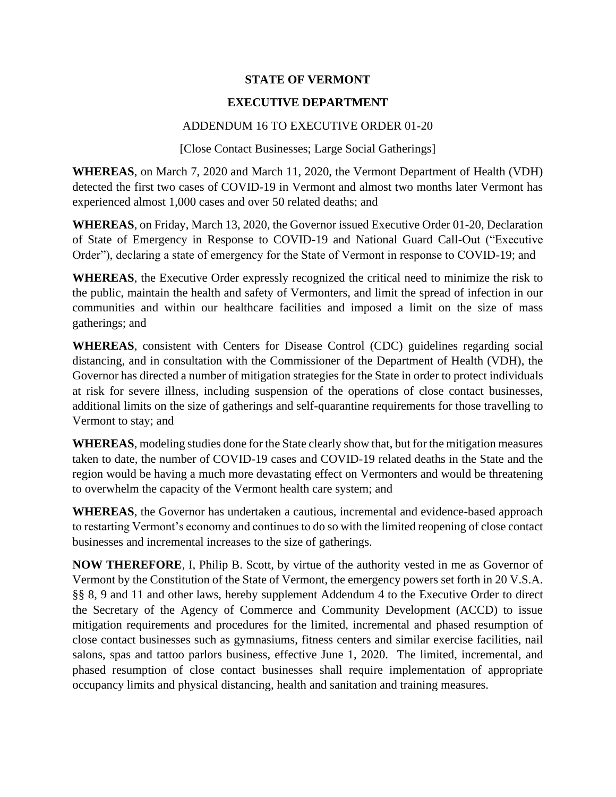## **STATE OF VERMONT**

## **EXECUTIVE DEPARTMENT**

## ADDENDUM 16 TO EXECUTIVE ORDER 01-20

[Close Contact Businesses; Large Social Gatherings]

**WHEREAS**, on March 7, 2020 and March 11, 2020, the Vermont Department of Health (VDH) detected the first two cases of COVID-19 in Vermont and almost two months later Vermont has experienced almost 1,000 cases and over 50 related deaths; and

**WHEREAS**, on Friday, March 13, 2020, the Governor issued Executive Order 01-20, Declaration of State of Emergency in Response to COVID-19 and National Guard Call-Out ("Executive Order"), declaring a state of emergency for the State of Vermont in response to COVID-19; and

**WHEREAS**, the Executive Order expressly recognized the critical need to minimize the risk to the public, maintain the health and safety of Vermonters, and limit the spread of infection in our communities and within our healthcare facilities and imposed a limit on the size of mass gatherings; and

**WHEREAS**, consistent with Centers for Disease Control (CDC) guidelines regarding social distancing, and in consultation with the Commissioner of the Department of Health (VDH), the Governor has directed a number of mitigation strategies for the State in order to protect individuals at risk for severe illness, including suspension of the operations of close contact businesses, additional limits on the size of gatherings and self-quarantine requirements for those travelling to Vermont to stay; and

**WHEREAS**, modeling studies done for the State clearly show that, but for the mitigation measures taken to date, the number of COVID-19 cases and COVID-19 related deaths in the State and the region would be having a much more devastating effect on Vermonters and would be threatening to overwhelm the capacity of the Vermont health care system; and

**WHEREAS**, the Governor has undertaken a cautious, incremental and evidence-based approach to restarting Vermont's economy and continues to do so with the limited reopening of close contact businesses and incremental increases to the size of gatherings.

**NOW THEREFORE**, I, Philip B. Scott, by virtue of the authority vested in me as Governor of Vermont by the Constitution of the State of Vermont, the emergency powers set forth in 20 V.S.A. §§ 8, 9 and 11 and other laws, hereby supplement Addendum 4 to the Executive Order to direct the Secretary of the Agency of Commerce and Community Development (ACCD) to issue mitigation requirements and procedures for the limited, incremental and phased resumption of close contact businesses such as gymnasiums, fitness centers and similar exercise facilities, nail salons, spas and tattoo parlors business, effective June 1, 2020. The limited, incremental, and phased resumption of close contact businesses shall require implementation of appropriate occupancy limits and physical distancing, health and sanitation and training measures.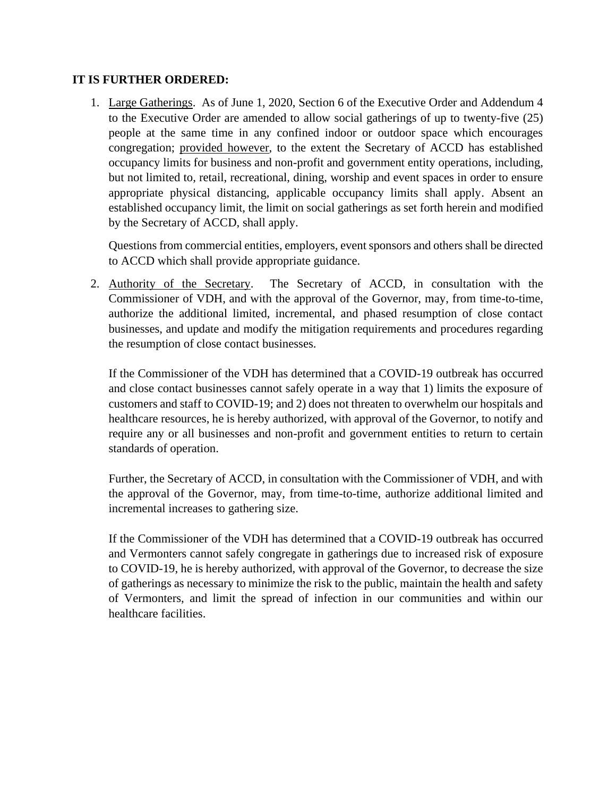## **IT IS FURTHER ORDERED:**

1. Large Gatherings. As of June 1, 2020, Section 6 of the Executive Order and Addendum 4 to the Executive Order are amended to allow social gatherings of up to twenty-five (25) people at the same time in any confined indoor or outdoor space which encourages congregation; provided however, to the extent the Secretary of ACCD has established occupancy limits for business and non-profit and government entity operations, including, but not limited to, retail, recreational, dining, worship and event spaces in order to ensure appropriate physical distancing, applicable occupancy limits shall apply. Absent an established occupancy limit, the limit on social gatherings as set forth herein and modified by the Secretary of ACCD, shall apply.

Questions from commercial entities, employers, event sponsors and others shall be directed to ACCD which shall provide appropriate guidance.

2. Authority of the Secretary. The Secretary of ACCD, in consultation with the Commissioner of VDH, and with the approval of the Governor, may, from time-to-time, authorize the additional limited, incremental, and phased resumption of close contact businesses, and update and modify the mitigation requirements and procedures regarding the resumption of close contact businesses.

If the Commissioner of the VDH has determined that a COVID-19 outbreak has occurred and close contact businesses cannot safely operate in a way that 1) limits the exposure of customers and staff to COVID-19; and 2) does not threaten to overwhelm our hospitals and healthcare resources, he is hereby authorized, with approval of the Governor, to notify and require any or all businesses and non-profit and government entities to return to certain standards of operation.

Further, the Secretary of ACCD, in consultation with the Commissioner of VDH, and with the approval of the Governor, may, from time-to-time, authorize additional limited and incremental increases to gathering size.

If the Commissioner of the VDH has determined that a COVID-19 outbreak has occurred and Vermonters cannot safely congregate in gatherings due to increased risk of exposure to COVID-19, he is hereby authorized, with approval of the Governor, to decrease the size of gatherings as necessary to minimize the risk to the public, maintain the health and safety of Vermonters, and limit the spread of infection in our communities and within our healthcare facilities.